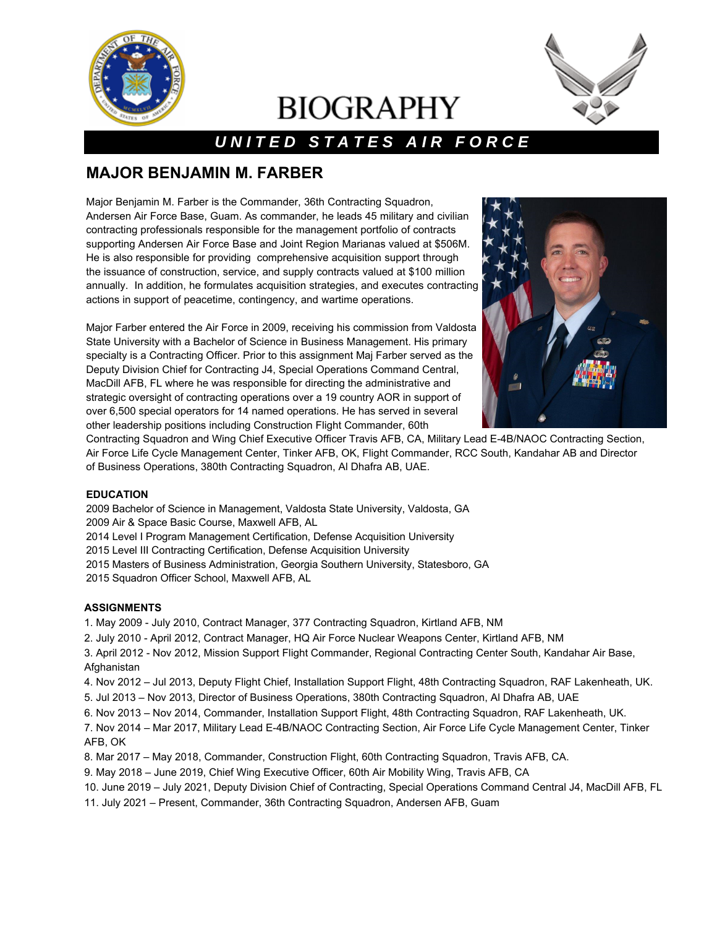

# **BIOGRAPHY**



## *U N I T E D S T A T E S A I R F O R C E*

## **MAJOR BENJAMIN M. FARBER**

Major Benjamin M. Farber is the Commander, 36th Contracting Squadron, Andersen Air Force Base, Guam. As commander, he leads 45 military and civilian contracting professionals responsible for the management portfolio of contracts supporting Andersen Air Force Base and Joint Region Marianas valued at \$506M. He is also responsible for providing comprehensive acquisition support through the issuance of construction, service, and supply contracts valued at \$100 million annually. In addition, he formulates acquisition strategies, and executes contracting actions in support of peacetime, contingency, and wartime operations.

Major Farber entered the Air Force in 2009, receiving his commission from Valdosta State University with a Bachelor of Science in Business Management. His primary specialty is a Contracting Officer. Prior to this assignment Maj Farber served as the Deputy Division Chief for Contracting J4, Special Operations Command Central, MacDill AFB, FL where he was responsible for directing the administrative and strategic oversight of contracting operations over a 19 country AOR in support of over 6,500 special operators for 14 named operations. He has served in several other leadership positions including Construction Flight Commander, 60th



Contracting Squadron and Wing Chief Executive Officer Travis AFB, CA, Military Lead E-4B/NAOC Contracting Section, Air Force Life Cycle Management Center, Tinker AFB, OK, Flight Commander, RCC South, Kandahar AB and Director of Business Operations, 380th Contracting Squadron, Al Dhafra AB, UAE.

#### **EDUCATION**

2009 Bachelor of Science in Management, Valdosta State University, Valdosta, GA 2009 Air & Space Basic Course, Maxwell AFB, AL 2014 Level I Program Management Certification, Defense Acquisition University 2015 Level III Contracting Certification, Defense Acquisition University 2015 Masters of Business Administration, Georgia Southern University, Statesboro, GA 2015 Squadron Officer School, Maxwell AFB, AL

#### **ASSIGNMENTS**

- 1. May 2009 July 2010, Contract Manager, 377 Contracting Squadron, Kirtland AFB, NM
- 2. July 2010 April 2012, Contract Manager, HQ Air Force Nuclear Weapons Center, Kirtland AFB, NM

3. April 2012 - Nov 2012, Mission Support Flight Commander, Regional Contracting Center South, Kandahar Air Base, Afghanistan

- 4. Nov 2012 Jul 2013, Deputy Flight Chief, Installation Support Flight, 48th Contracting Squadron, RAF Lakenheath, UK.
- 5. Jul 2013 Nov 2013, Director of Business Operations, 380th Contracting Squadron, Al Dhafra AB, UAE
- 6. Nov 2013 Nov 2014, Commander, Installation Support Flight, 48th Contracting Squadron, RAF Lakenheath, UK.
- 7. Nov 2014 Mar 2017, Military Lead E-4B/NAOC Contracting Section, Air Force Life Cycle Management Center, Tinker AFB, OK
- 8. Mar 2017 May 2018, Commander, Construction Flight, 60th Contracting Squadron, Travis AFB, CA.
- 9. May 2018 June 2019, Chief Wing Executive Officer, 60th Air Mobility Wing, Travis AFB, CA
- 10. June 2019 July 2021, Deputy Division Chief of Contracting, Special Operations Command Central J4, MacDill AFB, FL
- 11. July 2021 Present, Commander, 36th Contracting Squadron, Andersen AFB, Guam